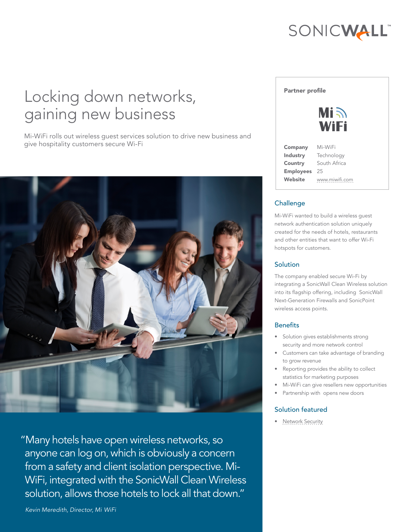# SONICWALL"

# Locking down networks, gaining new business

Mi-WiFi rolls out wireless guest services solution to drive new business and give hospitality customers secure Wi-Fi



"Many hotels have open wireless networks, so anyone can log on, which is obviously a concern from a safety and client isolation perspective. Mi-WiFi, integrated with the SonicWall Clean Wireless solution, allows those hotels to lock all that down."

*- Kevin Meredith, Director, Mi WiFi* 

#### Partner profile



| Company          | Mi-WiFi        |
|------------------|----------------|
| Industry         | Technology     |
| Country          | South Africa   |
| <b>Employees</b> | 25             |
| Website          | www.miwifi.com |
|                  |                |

## Challenge

Mi-WiFi wanted to build a wireless guest network authentication solution uniquely created for the needs of hotels, restaurants and other entities that want to offer Wi-Fi hotspots for customers.

## **Solution**

The company enabled secure Wi-Fi by integrating a SonicWall Clean Wireless solution into its flagship offering, including SonicWall Next-Generation Firewalls and SonicPoint wireless access points.

## **Benefits**

- • Solution gives establishments strong security and more network control
- Customers can take advantage of branding to grow revenue
- Reporting provides the ability to collect statistics for marketing purposes
- Mi-WiFi can give resellers new opportunities
- Partnership with opens new doors

#### Solution featured

• Network Security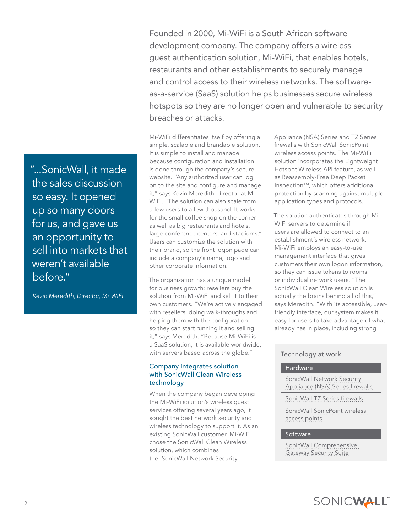Founded in 2000, Mi-WiFi is a South African software development company. The company offers a wireless guest authentication solution, Mi-WiFi, that enables hotels, restaurants and other establishments to securely manage and control access to their wireless networks. The softwareas-a-service (SaaS) solution helps businesses secure wireless hotspots so they are no longer open and vulnerable to security breaches or attacks.

Mi-WiFi differentiates itself by offering a simple, scalable and brandable solution. It is simple to install and manage because configuration and installation is done through the company's secure website. "Any authorized user can log on to the site and configure and manage it," says Kevin Meredith, director at Mi-WiFi. "The solution can also scale from a few users to a few thousand. It works for the small coffee shop on the corner as well as big restaurants and hotels, large conference centers, and stadiums." Users can customize the solution with their brand, so the front logon page can include a company's name, logo and other corporate information.

The organization has a unique model for business growth: resellers buy the solution from Mi-WiFi and sell it to their own customers. "We're actively engaged with resellers, doing walk-throughs and helping them with the configuration so they can start running it and selling it," says Meredith. "Because Mi-WiFi is a SaaS solution, it is available worldwide, with servers based across the globe."

#### Company integrates solution with SonicWall Clean Wireless technology

When the company began developing the Mi-WiFi solution's wireless guest services offering several years ago, it sought the best network security and wireless technology to support it. As an existing SonicWall customer, Mi-WiFi chose the SonicWall Clean Wireless solution, which combines the SonicWall Network Security

Appliance (NSA) Series and TZ Series firewalls with SonicWall SonicPoint wireless access points. The Mi-WiFi solution incorporates the Lightweight Hotspot Wireless API feature, as well as Reassembly-Free Deep Packet Inspection™, which offers additional protection by scanning against multiple application types and protocols.

The solution authenticates through Mi-WiFi servers to determine if users are allowed to connect to an establishment's wireless network. Mi-WiFi employs an easy-to-use management interface that gives customers their own logon information, so they can issue tokens to rooms or individual network users. "The SonicWall Clean Wireless solution is actually the brains behind all of this," says Meredith. "With its accessible, userfriendly interface, our system makes it easy for users to take advantage of what already has in place, including strong

## Technology at work

#### Hardware

[SonicWall Network Security](http://software.dell.com/products/sonicwall-nsa/)  [Appliance \(NSA\) Series firewalls](http://software.dell.com/products/sonicwall-nsa/) 

[SonicWall TZ Series firewalls](http://software.dell.com/products/sonicwall-tz/)

[SonicWall SonicPoint wireless](http://software.dell.com/solutions/clean-wireless/)  [access points](http://software.dell.com/solutions/clean-wireless/)

#### Software

[SonicWall Comprehensive](http://www.sonicwall.com/us/en/products/Network_Security_Services.html)  [Gateway Security Suite](http://www.sonicwall.com/us/en/products/Network_Security_Services.html)

"...SonicWall, it made the sales discussion so easy. It opened up so many doors for us, and gave us an opportunity to sell into markets that weren't available before."

*- Kevin Meredith, Director, Mi WiFi*